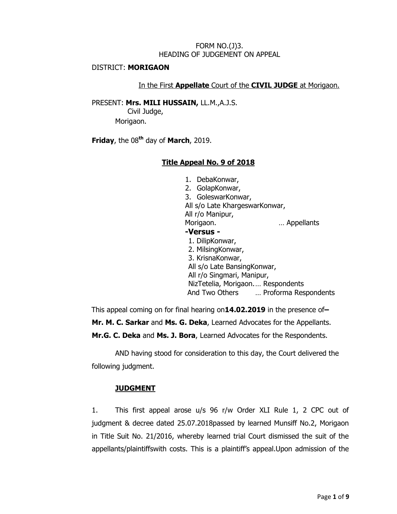### FORM NO.(J)3. HEADING OF JUDGEMENT ON APPEAL

#### DISTRICT: **MORIGAON**

### In the First **Appellate** Court of the **CIVIL JUDGE** at Morigaon.

PRESENT: **Mrs. MILI HUSSAIN,** LL.M.,A.J.S.

 Civil Judge, Morigaon.

**Friday**, the 08**th** day of **March**, 2019.

## **Title Appeal No. 9 of 2018**

1. DebaKonwar, 2. GolapKonwar, 3. GoleswarKonwar, All s/o Late KhargeswarKonwar, All r/o Manipur, Morigaon. **Example 20** Morigaon. **-Versus -** 1. DilipKonwar, 2. MilsingKonwar, 3. KrisnaKonwar, All s/o Late BansingKonwar, All r/o Singmari, Manipur, NizTetelia, Morigaon.… Respondents And Two Others … Proforma Respondents

This appeal coming on for final hearing on**14.02.2019** in the presence of**– Mr. M. C. Sarkar** and **Ms. G. Deka**, Learned Advocates for the Appellants. **Mr.G. C. Deka** and **Ms. J. Bora**, Learned Advocates for the Respondents.

AND having stood for consideration to this day, the Court delivered the following judgment.

# **JUDGMENT**

1. This first appeal arose u/s 96 r/w Order XLI Rule 1, 2 CPC out of judgment & decree dated 25.07.2018passed by learned Munsiff No.2, Morigaon in Title Suit No. 21/2016, whereby learned trial Court dismissed the suit of the appellants/plaintiffswith costs. This is a plaintiff"s appeal.Upon admission of the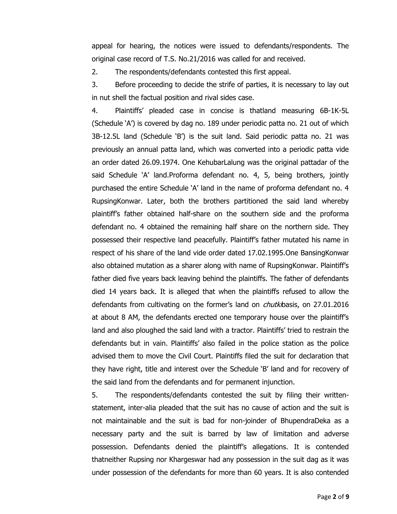appeal for hearing, the notices were issued to defendants/respondents. The original case record of T.S. No.21/2016 was called for and received.

2. The respondents/defendants contested this first appeal.

3. Before proceeding to decide the strife of parties, it is necessary to lay out in nut shell the factual position and rival sides case.

4. Plaintiffs" pleaded case in concise is thatland measuring 6B-1K-5L (Schedule "A") is covered by dag no. 189 under periodic patta no. 21 out of which 3B-12.5L land (Schedule "B") is the suit land. Said periodic patta no. 21 was previously an annual patta land, which was converted into a periodic patta vide an order dated 26.09.1974. One KehubarLalung was the original pattadar of the said Schedule "A" land.Proforma defendant no. 4, 5, being brothers, jointly purchased the entire Schedule "A" land in the name of proforma defendant no. 4 RupsingKonwar. Later, both the brothers partitioned the said land whereby plaintiff"s father obtained half-share on the southern side and the proforma defendant no. 4 obtained the remaining half share on the northern side. They possessed their respective land peacefully. Plaintiff"s father mutated his name in respect of his share of the land vide order dated 17.02.1995.One BansingKonwar also obtained mutation as a sharer along with name of RupsingKonwar. Plaintiff"s father died five years back leaving behind the plaintiffs. The father of defendants died 14 years back. It is alleged that when the plaintiffs refused to allow the defendants from cultivating on the former's land on *chutkibasis*, on 27.01.2016 at about 8 AM, the defendants erected one temporary house over the plaintiff"s land and also ploughed the said land with a tractor. Plaintiffs" tried to restrain the defendants but in vain. Plaintiffs" also failed in the police station as the police advised them to move the Civil Court. Plaintiffs filed the suit for declaration that they have right, title and interest over the Schedule "B" land and for recovery of the said land from the defendants and for permanent injunction.

5. The respondents/defendants contested the suit by filing their writtenstatement, inter-alia pleaded that the suit has no cause of action and the suit is not maintainable and the suit is bad for non-joinder of BhupendraDeka as a necessary party and the suit is barred by law of limitation and adverse possession. Defendants denied the plaintiff"s allegations. It is contended thatneither Rupsing nor Khargeswar had any possession in the suit dag as it was under possession of the defendants for more than 60 years. It is also contended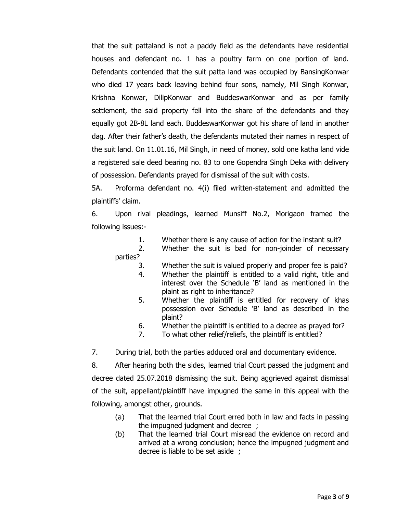that the suit pattaland is not a paddy field as the defendants have residential houses and defendant no. 1 has a poultry farm on one portion of land. Defendants contended that the suit patta land was occupied by BansingKonwar who died 17 years back leaving behind four sons, namely, Mil Singh Konwar, Krishna Konwar, DilipKonwar and BuddeswarKonwar and as per family settlement, the said property fell into the share of the defendants and they equally got 2B-8L land each. BuddeswarKonwar got his share of land in another dag. After their father"s death, the defendants mutated their names in respect of the suit land. On 11.01.16, Mil Singh, in need of money, sold one katha land vide a registered sale deed bearing no. 83 to one Gopendra Singh Deka with delivery of possession. Defendants prayed for dismissal of the suit with costs.

5A. Proforma defendant no. 4(i) filed written-statement and admitted the plaintiffs" claim.

6. Upon rival pleadings, learned Munsiff No.2, Morigaon framed the following issues:-

- 1. Whether there is any cause of action for the instant suit?
- 2. Whether the suit is bad for non-joinder of necessary parties?
	- 3. Whether the suit is valued properly and proper fee is paid?
	- 4. Whether the plaintiff is entitled to a valid right, title and interest over the Schedule "B" land as mentioned in the plaint as right to inheritance?
	- 5. Whether the plaintiff is entitled for recovery of khas possession over Schedule "B" land as described in the plaint?
	- 6. Whether the plaintiff is entitled to a decree as prayed for?
	- 7. To what other relief/reliefs, the plaintiff is entitled?

7. During trial, both the parties adduced oral and documentary evidence.

8. After hearing both the sides, learned trial Court passed the judgment and decree dated 25.07.2018 dismissing the suit. Being aggrieved against dismissal of the suit, appellant/plaintiff have impugned the same in this appeal with the following, amongst other, grounds.

- (a) That the learned trial Court erred both in law and facts in passing the impugned judgment and decree ;
- (b) That the learned trial Court misread the evidence on record and arrived at a wrong conclusion; hence the impugned judgment and decree is liable to be set aside ;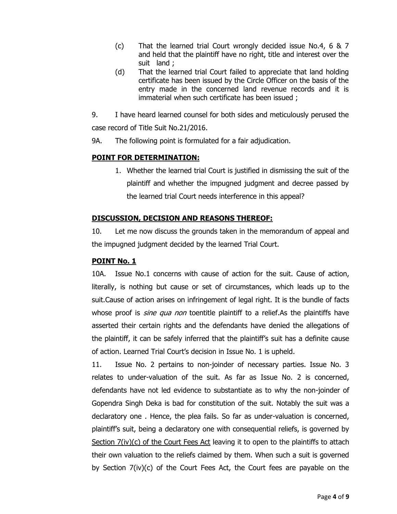- (c) That the learned trial Court wrongly decided issue No.4, 6 & 7 and held that the plaintiff have no right, title and interest over the suit land ;
- (d) That the learned trial Court failed to appreciate that land holding certificate has been issued by the Circle Officer on the basis of the entry made in the concerned land revenue records and it is immaterial when such certificate has been issued ;
- 9. I have heard learned counsel for both sides and meticulously perused the case record of Title Suit No.21/2016.
- 9A. The following point is formulated for a fair adjudication.

## **POINT FOR DETERMINATION:**

1. Whether the learned trial Court is justified in dismissing the suit of the plaintiff and whether the impugned judgment and decree passed by the learned trial Court needs interference in this appeal?

## **DISCUSSION, DECISION AND REASONS THEREOF:**

10. Let me now discuss the grounds taken in the memorandum of appeal and the impugned judgment decided by the learned Trial Court.

### **POINT No. 1**

10A. Issue No.1 concerns with cause of action for the suit. Cause of action, literally, is nothing but cause or set of circumstances, which leads up to the suit.Cause of action arises on infringement of legal right. It is the bundle of facts whose proof is *sine qua non* toentitle plaintiff to a relief.As the plaintiffs have asserted their certain rights and the defendants have denied the allegations of the plaintiff, it can be safely inferred that the plaintiff"s suit has a definite cause of action. Learned Trial Court"s decision in Issue No. 1 is upheld.

11. Issue No. 2 pertains to non-joinder of necessary parties. Issue No. 3 relates to under-valuation of the suit. As far as Issue No. 2 is concerned, defendants have not led evidence to substantiate as to why the non-joinder of Gopendra Singh Deka is bad for constitution of the suit. Notably the suit was a declaratory one . Hence, the plea fails. So far as under-valuation is concerned, plaintiff"s suit, being a declaratory one with consequential reliefs, is governed by Section  $7(iv)(c)$  of the Court Fees Act leaving it to open to the plaintiffs to attach their own valuation to the reliefs claimed by them. When such a suit is governed by Section 7(iv)(c) of the Court Fees Act, the Court fees are payable on the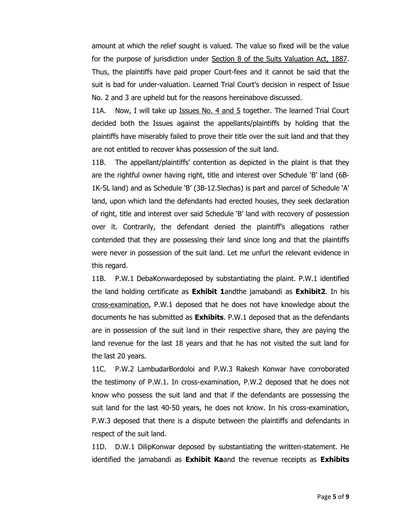amount at which the relief sought is valued. The value so fixed will be the value for the purpose of jurisdiction under Section 8 of the Suits Valuation Act, 1887. Thus, the plaintiffs have paid proper Court-fees and it cannot be said that the suit is bad for under-valuation. Learned Trial Court's decision in respect of Issue No. 2 and 3 are upheld but for the reasons hereinabove discussed.

11A. Now, I will take up Issues No. 4 and 5 together. The learned Trial Court decided both the Issues against the appellants/plaintiffs by holding that the plaintiffs have miserably failed to prove their title over the suit land and that they are not entitled to recover khas possession of the suit land.

11B. The appellant/plaintiffs" contention as depicted in the plaint is that they are the rightful owner having right, title and interest over Schedule "B" land (6B-1K-5L land) and as Schedule "B" (3B-12.5lechas) is part and parcel of Schedule "A" land, upon which land the defendants had erected houses, they seek declaration of right, title and interest over said Schedule "B" land with recovery of possession over it. Contrarily, the defendant denied the plaintiff"s allegations rather contended that they are possessing their land since long and that the plaintiffs were never in possession of the suit land. Let me unfurl the relevant evidence in this regard.

11B. P.W.1 DebaKonwardeposed by substantiating the plaint. P.W.1 identified the land holding certificate as **Exhibit 1**andthe jamabandi as **Exhibit2**. In his cross-examination, P.W.1 deposed that he does not have knowledge about the documents he has submitted as **Exhibits**. P.W.1 deposed that as the defendants are in possession of the suit land in their respective share, they are paying the land revenue for the last 18 years and that he has not visited the suit land for the last 20 years.

11C. P.W.2 LambudarBordoloi and P.W.3 Rakesh Konwar have corroborated the testimony of P.W.1. In cross-examination, P.W.2 deposed that he does not know who possess the suit land and that if the defendants are possessing the suit land for the last 40-50 years, he does not know. In his cross-examination, P.W.3 deposed that there is a dispute between the plaintiffs and defendants in respect of the suit land.

11D. D.W.1 DilipKonwar deposed by substantiating the written-statement. He identified the jamabandi as **Exhibit Ka**and the revenue receipts as **Exhibits**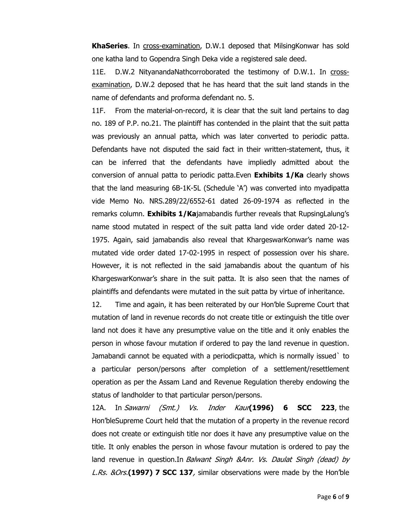**KhaSeries**. In cross-examination, D.W.1 deposed that MilsingKonwar has sold one katha land to Gopendra Singh Deka vide a registered sale deed.

11E. D.W.2 NityanandaNathcorroborated the testimony of D.W.1. In crossexamination, D.W.2 deposed that he has heard that the suit land stands in the name of defendants and proforma defendant no. 5.

11F. From the material-on-record, it is clear that the suit land pertains to dag no. 189 of P.P. no.21. The plaintiff has contended in the plaint that the suit patta was previously an annual patta, which was later converted to periodic patta. Defendants have not disputed the said fact in their written-statement, thus, it can be inferred that the defendants have impliedly admitted about the conversion of annual patta to periodic patta.Even **Exhibits 1/Ka** clearly shows that the land measuring 6B-1K-5L (Schedule "A") was converted into myadipatta vide Memo No. NRS.289/22/6552-61 dated 26-09-1974 as reflected in the remarks column. **Exhibits 1/Ka**jamabandis further reveals that RupsingLalung"s name stood mutated in respect of the suit patta land vide order dated 20-12- 1975. Again, said jamabandis also reveal that KhargeswarKonwar"s name was mutated vide order dated 17-02-1995 in respect of possession over his share. However, it is not reflected in the said jamabandis about the quantum of his KhargeswarKonwar's share in the suit patta. It is also seen that the names of plaintiffs and defendants were mutated in the suit patta by virtue of inheritance.

12. Time and again, it has been reiterated by our Hon"ble Supreme Court that mutation of land in revenue records do not create title or extinguish the title over land not does it have any presumptive value on the title and it only enables the person in whose favour mutation if ordered to pay the land revenue in question. Jamabandi cannot be equated with a periodicpatta, which is normally issued` to a particular person/persons after completion of a settlement/resettlement operation as per the Assam Land and Revenue Regulation thereby endowing the status of landholder to that particular person/persons.

12A. In Sawarni (Smt.) Vs. Inder Kaur**(1996) 6 SCC 223**, the Hon"bleSupreme Court held that the mutation of a property in the revenue record does not create or extinguish title nor does it have any presumptive value on the title. It only enables the person in whose favour mutation is ordered to pay the land revenue in question.In Balwant Singh &Anr. Vs. Daulat Singh (dead) by L.Rs. &Ors.**(1997) 7 SCC 137**, similar observations were made by the Hon"ble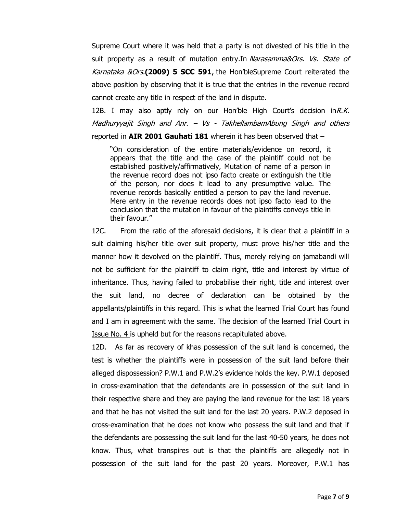Supreme Court where it was held that a party is not divested of his title in the suit property as a result of mutation entry. In Narasamma&Ors. Vs. State of Karnataka &Ors.**(2009) 5 SCC 591**, the Hon"bleSupreme Court reiterated the above position by observing that it is true that the entries in the revenue record cannot create any title in respect of the land in dispute.

12B. I may also aptly rely on our Hon'ble High Court's decision  $\ln R.K$ . Madhuryyajit Singh and Anr. – Vs - TakhellambamAbung Singh and others reported in **AIR 2001 Gauhati 181** wherein it has been observed that –

"On consideration of the entire materials/evidence on record, it appears that the title and the case of the plaintiff could not be established positively/affirmatively, Mutation of name of a person in the revenue record does not ipso facto create or extinguish the title of the person, nor does it lead to any presumptive value. The revenue records basically entitled a person to pay the land revenue. Mere entry in the revenue records does not ipso facto lead to the conclusion that the mutation in favour of the plaintiffs conveys title in their favour."

12C. From the ratio of the aforesaid decisions, it is clear that a plaintiff in a suit claiming his/her title over suit property, must prove his/her title and the manner how it devolved on the plaintiff. Thus, merely relying on jamabandi will not be sufficient for the plaintiff to claim right, title and interest by virtue of inheritance. Thus, having failed to probabilise their right, title and interest over the suit land, no decree of declaration can be obtained by the appellants/plaintiffs in this regard. This is what the learned Trial Court has found and I am in agreement with the same. The decision of the learned Trial Court in Issue No. 4 is upheld but for the reasons recapitulated above.

12D. As far as recovery of khas possession of the suit land is concerned, the test is whether the plaintiffs were in possession of the suit land before their alleged dispossession? P.W.1 and P.W.2"s evidence holds the key. P.W.1 deposed in cross-examination that the defendants are in possession of the suit land in their respective share and they are paying the land revenue for the last 18 years and that he has not visited the suit land for the last 20 years. P.W.2 deposed in cross-examination that he does not know who possess the suit land and that if the defendants are possessing the suit land for the last 40-50 years, he does not know. Thus, what transpires out is that the plaintiffs are allegedly not in possession of the suit land for the past 20 years. Moreover, P.W.1 has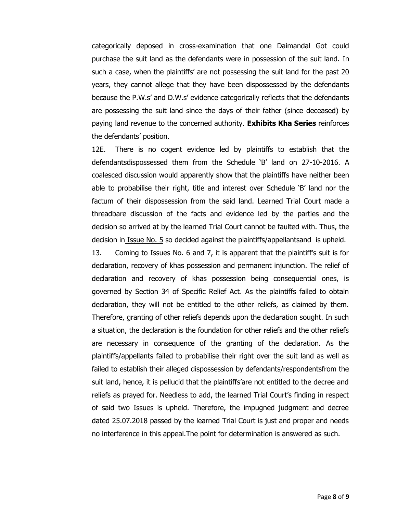categorically deposed in cross-examination that one Daimandal Got could purchase the suit land as the defendants were in possession of the suit land. In such a case, when the plaintiffs" are not possessing the suit land for the past 20 years, they cannot allege that they have been dispossessed by the defendants because the P.W.s" and D.W.s" evidence categorically reflects that the defendants are possessing the suit land since the days of their father (since deceased) by paying land revenue to the concerned authority. **Exhibits Kha Series** reinforces the defendants' position.

12E. There is no cogent evidence led by plaintiffs to establish that the defendantsdispossessed them from the Schedule "B" land on 27-10-2016. A coalesced discussion would apparently show that the plaintiffs have neither been able to probabilise their right, title and interest over Schedule "B" land nor the factum of their dispossession from the said land. Learned Trial Court made a threadbare discussion of the facts and evidence led by the parties and the decision so arrived at by the learned Trial Court cannot be faulted with. Thus, the decision in Issue No. 5 so decided against the plaintiffs/appellantsand is upheld.

13. Coming to Issues No. 6 and 7, it is apparent that the plaintiff"s suit is for declaration, recovery of khas possession and permanent injunction. The relief of declaration and recovery of khas possession being consequential ones, is governed by Section 34 of Specific Relief Act. As the plaintiffs failed to obtain declaration, they will not be entitled to the other reliefs, as claimed by them. Therefore, granting of other reliefs depends upon the declaration sought. In such a situation, the declaration is the foundation for other reliefs and the other reliefs are necessary in consequence of the granting of the declaration. As the plaintiffs/appellants failed to probabilise their right over the suit land as well as failed to establish their alleged dispossession by defendants/respondentsfrom the suit land, hence, it is pellucid that the plaintiffs'are not entitled to the decree and reliefs as prayed for. Needless to add, the learned Trial Court's finding in respect of said two Issues is upheld. Therefore, the impugned judgment and decree dated 25.07.2018 passed by the learned Trial Court is just and proper and needs no interference in this appeal.The point for determination is answered as such.